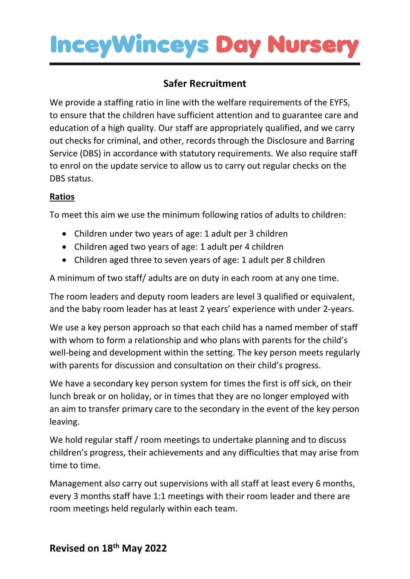### **InceyWinceys Day Nursery**

### **Safer Recruitment**

We provide a staffing ratio in line with the welfare requirements of the EYFS, to ensure that the children have sufficient attention and to guarantee care and education of a high quality. Our staff are appropriately qualified, and we carry out checks for criminal, and other, records through the Disclosure and Barring Service (DBS) in accordance with statutory requirements. We also require staff to enrol on the update service to allow us to carry out regular checks on the DBS status.

#### **Ratios**

To meet this aim we use the minimum following ratios of adults to children:

- Children under two years of age: 1 adult per 3 children
- Children aged two years of age: 1 adult per 4 children
- Children aged three to seven years of age: 1 adult per 8 children

A minimum of two staff/ adults are on duty in each room at any one time.

The room leaders and deputy room leaders are level 3 qualified or equivalent, and the baby room leader has at least 2 years' experience with under 2-years.

We use a key person approach so that each child has a named member of staff with whom to form a relationship and who plans with parents for the child's well-being and development within the setting. The key person meets regularly with parents for discussion and consultation on their child's progress.

We have a secondary key person system for times the first is off sick, on their lunch break or on holiday, or in times that they are no longer employed with an aim to transfer primary care to the secondary in the event of the key person leaving.

We hold regular staff / room meetings to undertake planning and to discuss children's progress, their achievements and any difficulties that may arise from time to time.

Management also carry out supervisions with all staff at least every 6 months, every 3 months staff have 1:1 meetings with their room leader and there are room meetings held regularly within each team.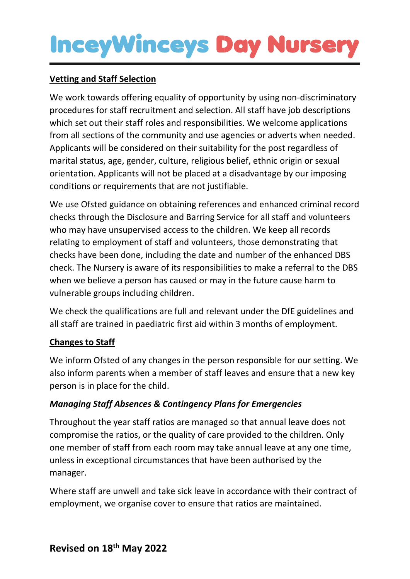## **InceyWinceys Day Nurser**

#### **Vetting and Staff Selection**

We work towards offering equality of opportunity by using non-discriminatory procedures for staff recruitment and selection. All staff have job descriptions which set out their staff roles and responsibilities. We welcome applications from all sections of the community and use agencies or adverts when needed. Applicants will be considered on their suitability for the post regardless of marital status, age, gender, culture, religious belief, ethnic origin or sexual orientation. Applicants will not be placed at a disadvantage by our imposing conditions or requirements that are not justifiable.

We use Ofsted guidance on obtaining references and enhanced criminal record checks through the Disclosure and Barring Service for all staff and volunteers who may have unsupervised access to the children. We keep all records relating to employment of staff and volunteers, those demonstrating that checks have been done, including the date and number of the enhanced DBS check. The Nursery is aware of its responsibilities to make a referral to the DBS when we believe a person has caused or may in the future cause harm to vulnerable groups including children.

We check the qualifications are full and relevant under the DfE guidelines and all staff are trained in paediatric first aid within 3 months of employment.

#### **Changes to Staff**

We inform Ofsted of any changes in the person responsible for our setting. We also inform parents when a member of staff leaves and ensure that a new key person is in place for the child.

#### *Managing Staff Absences & Contingency Plans for Emergencies*

Throughout the year staff ratios are managed so that annual leave does not compromise the ratios, or the quality of care provided to the children. Only one member of staff from each room may take annual leave at any one time, unless in exceptional circumstances that have been authorised by the manager.

Where staff are unwell and take sick leave in accordance with their contract of employment, we organise cover to ensure that ratios are maintained.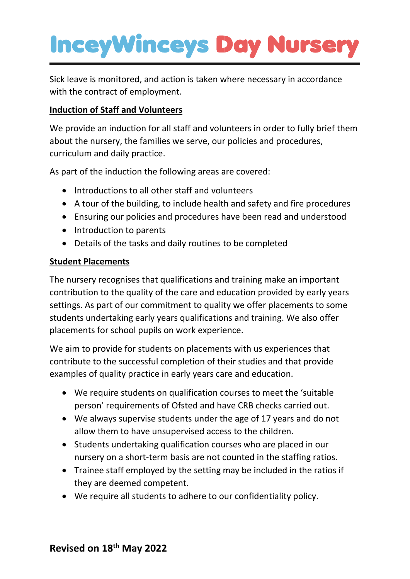# **InceyWinceys Day Nursery**

Sick leave is monitored, and action is taken where necessary in accordance with the contract of employment.

#### **Induction of Staff and Volunteers**

We provide an induction for all staff and volunteers in order to fully brief them about the nursery, the families we serve, our policies and procedures, curriculum and daily practice.

As part of the induction the following areas are covered:

- Introductions to all other staff and volunteers
- A tour of the building, to include health and safety and fire procedures
- Ensuring our policies and procedures have been read and understood
- Introduction to parents
- Details of the tasks and daily routines to be completed

#### **Student Placements**

The nursery recognises that qualifications and training make an important contribution to the quality of the care and education provided by early years settings. As part of our commitment to quality we offer placements to some students undertaking early years qualifications and training. We also offer placements for school pupils on work experience.

We aim to provide for students on placements with us experiences that contribute to the successful completion of their studies and that provide examples of quality practice in early years care and education.

- We require students on qualification courses to meet the 'suitable person' requirements of Ofsted and have CRB checks carried out.
- We always supervise students under the age of 17 years and do not allow them to have unsupervised access to the children.
- Students undertaking qualification courses who are placed in our nursery on a short-term basis are not counted in the staffing ratios.
- Trainee staff employed by the setting may be included in the ratios if they are deemed competent.
- We require all students to adhere to our confidentiality policy.